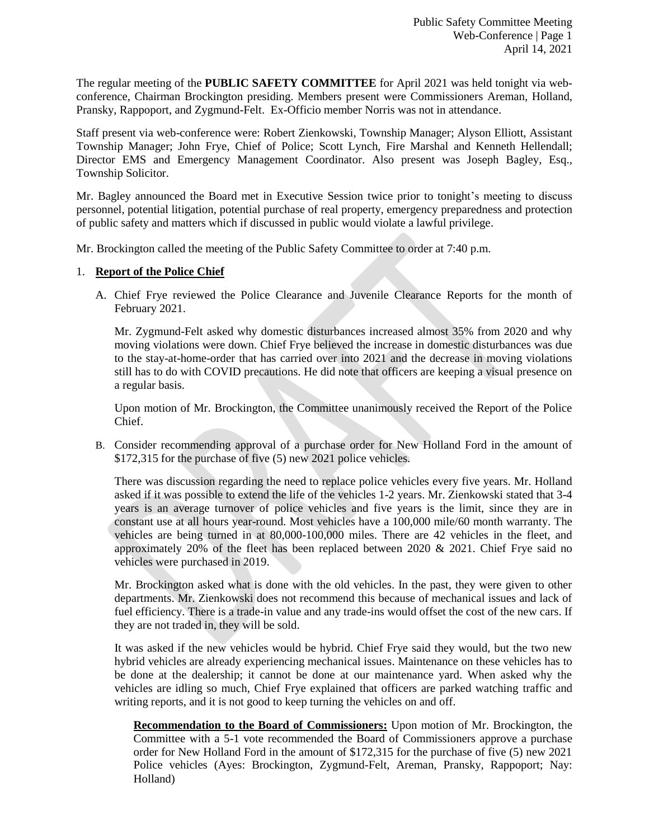The regular meeting of the **PUBLIC SAFETY COMMITTEE** for April 2021 was held tonight via webconference, Chairman Brockington presiding. Members present were Commissioners Areman, Holland, Pransky, Rappoport, and Zygmund-Felt. Ex-Officio member Norris was not in attendance.

Staff present via web-conference were: Robert Zienkowski, Township Manager; Alyson Elliott, Assistant Township Manager; John Frye, Chief of Police; Scott Lynch, Fire Marshal and Kenneth Hellendall; Director EMS and Emergency Management Coordinator. Also present was Joseph Bagley, Esq., Township Solicitor.

Mr. Bagley announced the Board met in Executive Session twice prior to tonight's meeting to discuss personnel, potential litigation, potential purchase of real property, emergency preparedness and protection of public safety and matters which if discussed in public would violate a lawful privilege.

Mr. Brockington called the meeting of the Public Safety Committee to order at 7:40 p.m.

# 1. **Report of the Police Chief**

A. Chief Frye reviewed the Police Clearance and Juvenile Clearance Reports for the month of February 2021.

Mr. Zygmund-Felt asked why domestic disturbances increased almost 35% from 2020 and why moving violations were down. Chief Frye believed the increase in domestic disturbances was due to the stay-at-home-order that has carried over into 2021 and the decrease in moving violations still has to do with COVID precautions. He did note that officers are keeping a visual presence on a regular basis.

Upon motion of Mr. Brockington, the Committee unanimously received the Report of the Police Chief.

B. Consider recommending approval of a purchase order for New Holland Ford in the amount of \$172,315 for the purchase of five (5) new 2021 police vehicles.

There was discussion regarding the need to replace police vehicles every five years. Mr. Holland asked if it was possible to extend the life of the vehicles 1-2 years. Mr. Zienkowski stated that 3-4 years is an average turnover of police vehicles and five years is the limit, since they are in constant use at all hours year-round. Most vehicles have a 100,000 mile/60 month warranty. The vehicles are being turned in at 80,000-100,000 miles. There are 42 vehicles in the fleet, and approximately 20% of the fleet has been replaced between 2020  $& 2021$ . Chief Frye said no vehicles were purchased in 2019.

Mr. Brockington asked what is done with the old vehicles. In the past, they were given to other departments. Mr. Zienkowski does not recommend this because of mechanical issues and lack of fuel efficiency. There is a trade-in value and any trade-ins would offset the cost of the new cars. If they are not traded in, they will be sold.

It was asked if the new vehicles would be hybrid. Chief Frye said they would, but the two new hybrid vehicles are already experiencing mechanical issues. Maintenance on these vehicles has to be done at the dealership; it cannot be done at our maintenance yard. When asked why the vehicles are idling so much, Chief Frye explained that officers are parked watching traffic and writing reports, and it is not good to keep turning the vehicles on and off.

**Recommendation to the Board of Commissioners:** Upon motion of Mr. Brockington, the Committee with a 5-1 vote recommended the Board of Commissioners approve a purchase order for New Holland Ford in the amount of \$172,315 for the purchase of five (5) new 2021 Police vehicles (Ayes: Brockington, Zygmund-Felt, Areman, Pransky, Rappoport; Nay: Holland)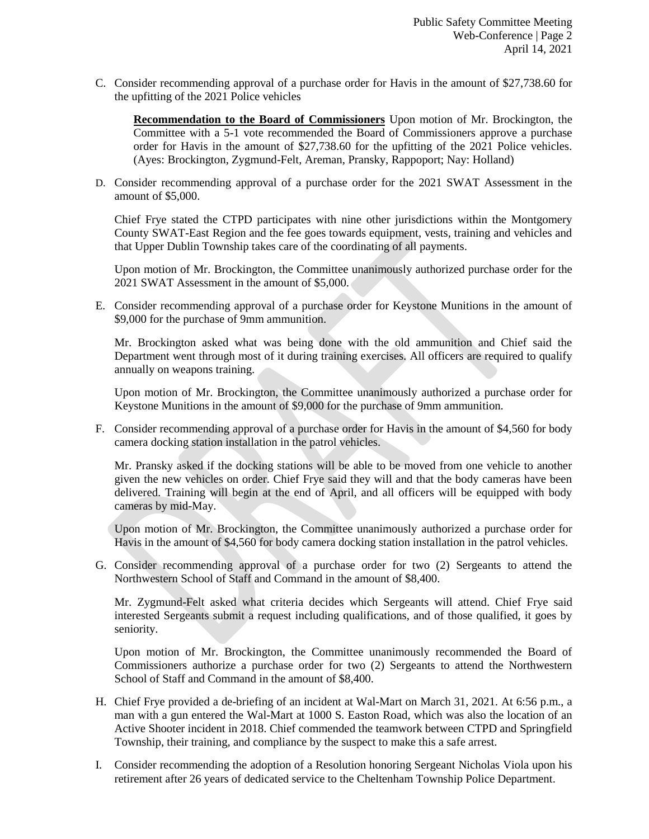C. Consider recommending approval of a purchase order for Havis in the amount of \$27,738.60 for the upfitting of the 2021 Police vehicles

**Recommendation to the Board of Commissioners** Upon motion of Mr. Brockington, the Committee with a 5-1 vote recommended the Board of Commissioners approve a purchase order for Havis in the amount of \$27,738.60 for the upfitting of the 2021 Police vehicles. (Ayes: Brockington, Zygmund-Felt, Areman, Pransky, Rappoport; Nay: Holland)

D. Consider recommending approval of a purchase order for the 2021 SWAT Assessment in the amount of \$5,000.

Chief Frye stated the CTPD participates with nine other jurisdictions within the Montgomery County SWAT-East Region and the fee goes towards equipment, vests, training and vehicles and that Upper Dublin Township takes care of the coordinating of all payments.

Upon motion of Mr. Brockington, the Committee unanimously authorized purchase order for the 2021 SWAT Assessment in the amount of \$5,000.

E. Consider recommending approval of a purchase order for Keystone Munitions in the amount of \$9,000 for the purchase of 9mm ammunition.

Mr. Brockington asked what was being done with the old ammunition and Chief said the Department went through most of it during training exercises. All officers are required to qualify annually on weapons training.

Upon motion of Mr. Brockington, the Committee unanimously authorized a purchase order for Keystone Munitions in the amount of \$9,000 for the purchase of 9mm ammunition.

F. Consider recommending approval of a purchase order for Havis in the amount of \$4,560 for body camera docking station installation in the patrol vehicles.

Mr. Pransky asked if the docking stations will be able to be moved from one vehicle to another given the new vehicles on order. Chief Frye said they will and that the body cameras have been delivered. Training will begin at the end of April, and all officers will be equipped with body cameras by mid-May.

Upon motion of Mr. Brockington, the Committee unanimously authorized a purchase order for Havis in the amount of \$4,560 for body camera docking station installation in the patrol vehicles.

G. Consider recommending approval of a purchase order for two (2) Sergeants to attend the Northwestern School of Staff and Command in the amount of \$8,400.

Mr. Zygmund-Felt asked what criteria decides which Sergeants will attend. Chief Frye said interested Sergeants submit a request including qualifications, and of those qualified, it goes by seniority.

Upon motion of Mr. Brockington, the Committee unanimously recommended the Board of Commissioners authorize a purchase order for two (2) Sergeants to attend the Northwestern School of Staff and Command in the amount of \$8,400.

- H. Chief Frye provided a de-briefing of an incident at Wal-Mart on March 31, 2021. At 6:56 p.m., a man with a gun entered the Wal-Mart at 1000 S. Easton Road, which was also the location of an Active Shooter incident in 2018. Chief commended the teamwork between CTPD and Springfield Township, their training, and compliance by the suspect to make this a safe arrest.
- I. Consider recommending the adoption of a Resolution honoring Sergeant Nicholas Viola upon his retirement after 26 years of dedicated service to the Cheltenham Township Police Department.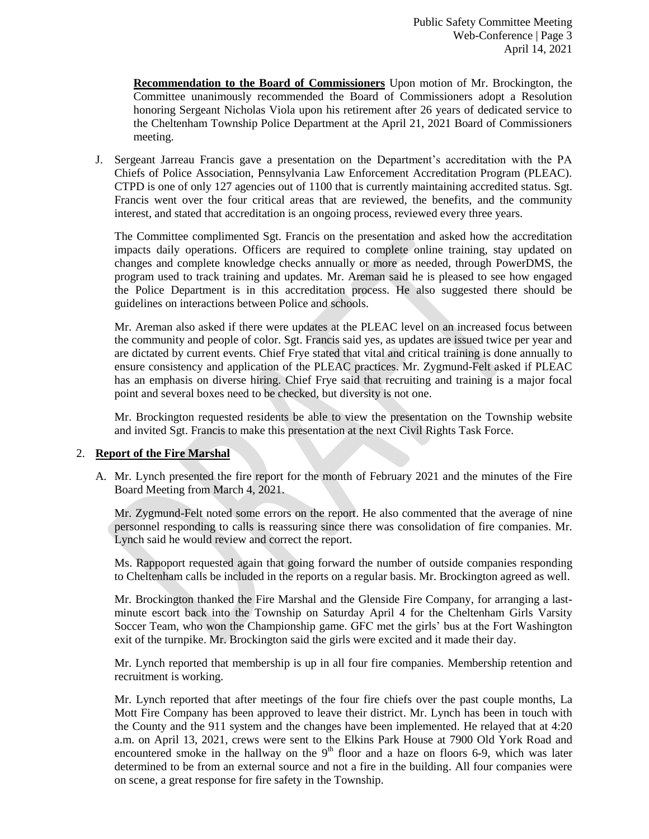**Recommendation to the Board of Commissioners** Upon motion of Mr. Brockington, the Committee unanimously recommended the Board of Commissioners adopt a Resolution honoring Sergeant Nicholas Viola upon his retirement after 26 years of dedicated service to the Cheltenham Township Police Department at the April 21, 2021 Board of Commissioners meeting.

J. Sergeant Jarreau Francis gave a presentation on the Department's accreditation with the PA Chiefs of Police Association, Pennsylvania Law Enforcement Accreditation Program (PLEAC). CTPD is one of only 127 agencies out of 1100 that is currently maintaining accredited status. Sgt. Francis went over the four critical areas that are reviewed, the benefits, and the community interest, and stated that accreditation is an ongoing process, reviewed every three years.

The Committee complimented Sgt. Francis on the presentation and asked how the accreditation impacts daily operations. Officers are required to complete online training, stay updated on changes and complete knowledge checks annually or more as needed, through PowerDMS, the program used to track training and updates. Mr. Areman said he is pleased to see how engaged the Police Department is in this accreditation process. He also suggested there should be guidelines on interactions between Police and schools.

Mr. Areman also asked if there were updates at the PLEAC level on an increased focus between the community and people of color. Sgt. Francis said yes, as updates are issued twice per year and are dictated by current events. Chief Frye stated that vital and critical training is done annually to ensure consistency and application of the PLEAC practices. Mr. Zygmund-Felt asked if PLEAC has an emphasis on diverse hiring. Chief Frye said that recruiting and training is a major focal point and several boxes need to be checked, but diversity is not one.

Mr. Brockington requested residents be able to view the presentation on the Township website and invited Sgt. Francis to make this presentation at the next Civil Rights Task Force.

### 2. **Report of the Fire Marshal**

A. Mr. Lynch presented the fire report for the month of February 2021 and the minutes of the Fire Board Meeting from March 4, 2021.

Mr. Zygmund-Felt noted some errors on the report. He also commented that the average of nine personnel responding to calls is reassuring since there was consolidation of fire companies. Mr. Lynch said he would review and correct the report.

Ms. Rappoport requested again that going forward the number of outside companies responding to Cheltenham calls be included in the reports on a regular basis. Mr. Brockington agreed as well.

Mr. Brockington thanked the Fire Marshal and the Glenside Fire Company, for arranging a lastminute escort back into the Township on Saturday April 4 for the Cheltenham Girls Varsity Soccer Team, who won the Championship game. GFC met the girls' bus at the Fort Washington exit of the turnpike. Mr. Brockington said the girls were excited and it made their day.

Mr. Lynch reported that membership is up in all four fire companies. Membership retention and recruitment is working.

Mr. Lynch reported that after meetings of the four fire chiefs over the past couple months, La Mott Fire Company has been approved to leave their district. Mr. Lynch has been in touch with the County and the 911 system and the changes have been implemented. He relayed that at 4:20 a.m. on April 13, 2021, crews were sent to the Elkins Park House at 7900 Old York Road and encountered smoke in the hallway on the  $9<sup>th</sup>$  floor and a haze on floors 6-9, which was later determined to be from an external source and not a fire in the building. All four companies were on scene, a great response for fire safety in the Township.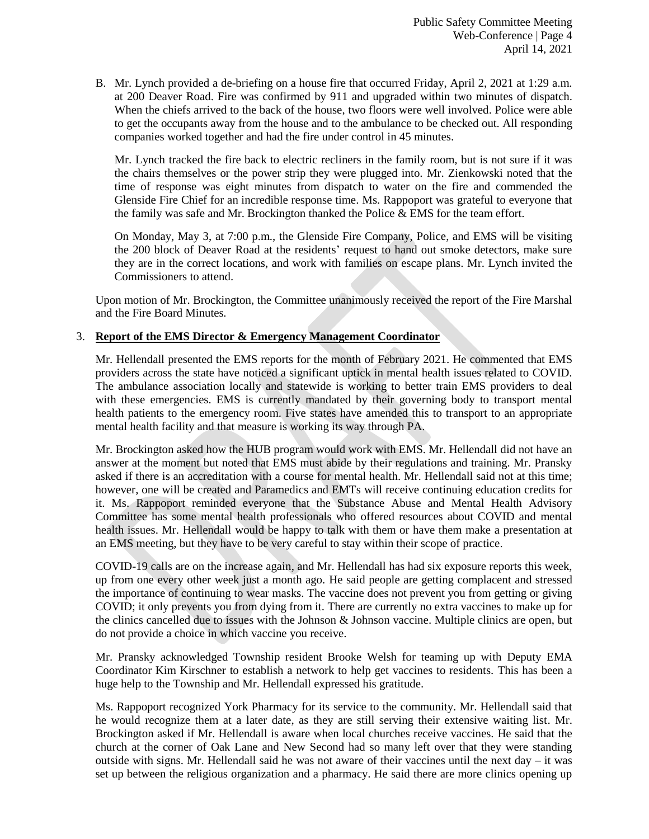B. Mr. Lynch provided a de-briefing on a house fire that occurred Friday, April 2, 2021 at 1:29 a.m. at 200 Deaver Road. Fire was confirmed by 911 and upgraded within two minutes of dispatch. When the chiefs arrived to the back of the house, two floors were well involved. Police were able to get the occupants away from the house and to the ambulance to be checked out. All responding companies worked together and had the fire under control in 45 minutes.

Mr. Lynch tracked the fire back to electric recliners in the family room, but is not sure if it was the chairs themselves or the power strip they were plugged into. Mr. Zienkowski noted that the time of response was eight minutes from dispatch to water on the fire and commended the Glenside Fire Chief for an incredible response time. Ms. Rappoport was grateful to everyone that the family was safe and Mr. Brockington thanked the Police & EMS for the team effort.

On Monday, May 3, at 7:00 p.m., the Glenside Fire Company, Police, and EMS will be visiting the 200 block of Deaver Road at the residents' request to hand out smoke detectors, make sure they are in the correct locations, and work with families on escape plans. Mr. Lynch invited the Commissioners to attend.

Upon motion of Mr. Brockington, the Committee unanimously received the report of the Fire Marshal and the Fire Board Minutes.

# 3. **Report of the EMS Director & Emergency Management Coordinator**

Mr. Hellendall presented the EMS reports for the month of February 2021. He commented that EMS providers across the state have noticed a significant uptick in mental health issues related to COVID. The ambulance association locally and statewide is working to better train EMS providers to deal with these emergencies. EMS is currently mandated by their governing body to transport mental health patients to the emergency room. Five states have amended this to transport to an appropriate mental health facility and that measure is working its way through PA.

Mr. Brockington asked how the HUB program would work with EMS. Mr. Hellendall did not have an answer at the moment but noted that EMS must abide by their regulations and training. Mr. Pransky asked if there is an accreditation with a course for mental health. Mr. Hellendall said not at this time; however, one will be created and Paramedics and EMTs will receive continuing education credits for it. Ms. Rappoport reminded everyone that the Substance Abuse and Mental Health Advisory Committee has some mental health professionals who offered resources about COVID and mental health issues. Mr. Hellendall would be happy to talk with them or have them make a presentation at an EMS meeting, but they have to be very careful to stay within their scope of practice.

COVID-19 calls are on the increase again, and Mr. Hellendall has had six exposure reports this week, up from one every other week just a month ago. He said people are getting complacent and stressed the importance of continuing to wear masks. The vaccine does not prevent you from getting or giving COVID; it only prevents you from dying from it. There are currently no extra vaccines to make up for the clinics cancelled due to issues with the Johnson & Johnson vaccine. Multiple clinics are open, but do not provide a choice in which vaccine you receive.

Mr. Pransky acknowledged Township resident Brooke Welsh for teaming up with Deputy EMA Coordinator Kim Kirschner to establish a network to help get vaccines to residents. This has been a huge help to the Township and Mr. Hellendall expressed his gratitude.

Ms. Rappoport recognized York Pharmacy for its service to the community. Mr. Hellendall said that he would recognize them at a later date, as they are still serving their extensive waiting list. Mr. Brockington asked if Mr. Hellendall is aware when local churches receive vaccines. He said that the church at the corner of Oak Lane and New Second had so many left over that they were standing outside with signs. Mr. Hellendall said he was not aware of their vaccines until the next day  $-$  it was set up between the religious organization and a pharmacy. He said there are more clinics opening up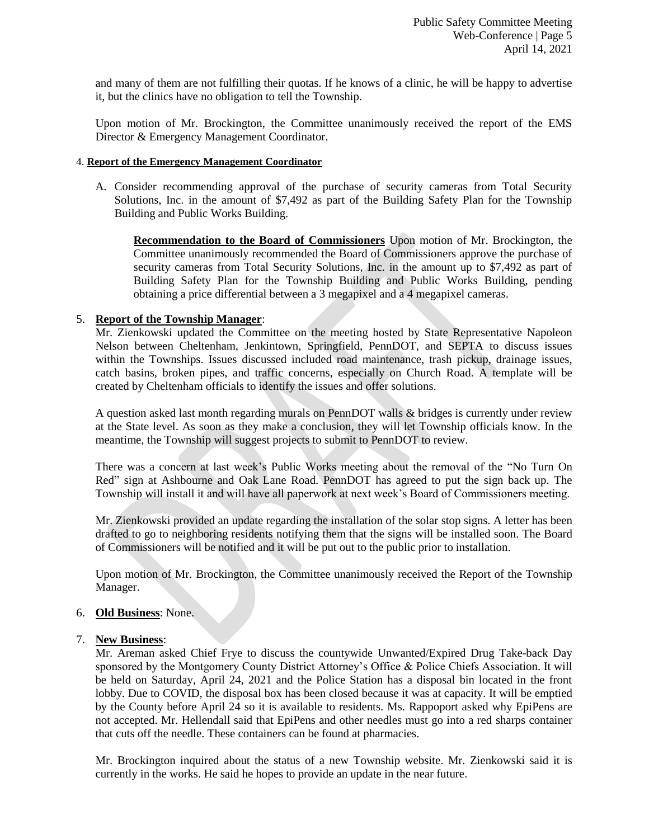and many of them are not fulfilling their quotas. If he knows of a clinic, he will be happy to advertise it, but the clinics have no obligation to tell the Township.

Upon motion of Mr. Brockington, the Committee unanimously received the report of the EMS Director & Emergency Management Coordinator.

#### 4. **Report of the Emergency Management Coordinator**

A. Consider recommending approval of the purchase of security cameras from Total Security Solutions, Inc. in the amount of \$7,492 as part of the Building Safety Plan for the Township Building and Public Works Building.

**Recommendation to the Board of Commissioners** Upon motion of Mr. Brockington, the Committee unanimously recommended the Board of Commissioners approve the purchase of security cameras from Total Security Solutions, Inc. in the amount up to \$7,492 as part of Building Safety Plan for the Township Building and Public Works Building, pending obtaining a price differential between a 3 megapixel and a 4 megapixel cameras.

### 5. **Report of the Township Manager**:

Mr. Zienkowski updated the Committee on the meeting hosted by State Representative Napoleon Nelson between Cheltenham, Jenkintown, Springfield, PennDOT, and SEPTA to discuss issues within the Townships. Issues discussed included road maintenance, trash pickup, drainage issues, catch basins, broken pipes, and traffic concerns, especially on Church Road. A template will be created by Cheltenham officials to identify the issues and offer solutions.

A question asked last month regarding murals on PennDOT walls & bridges is currently under review at the State level. As soon as they make a conclusion, they will let Township officials know. In the meantime, the Township will suggest projects to submit to PennDOT to review.

There was a concern at last week's Public Works meeting about the removal of the "No Turn On Red" sign at Ashbourne and Oak Lane Road. PennDOT has agreed to put the sign back up. The Township will install it and will have all paperwork at next week's Board of Commissioners meeting.

Mr. Zienkowski provided an update regarding the installation of the solar stop signs. A letter has been drafted to go to neighboring residents notifying them that the signs will be installed soon. The Board of Commissioners will be notified and it will be put out to the public prior to installation.

Upon motion of Mr. Brockington, the Committee unanimously received the Report of the Township Manager.

### 6. **Old Business**: None.

### 7. **New Business**:

Mr. Areman asked Chief Frye to discuss the countywide Unwanted/Expired Drug Take-back Day sponsored by the Montgomery County District Attorney's Office & Police Chiefs Association. It will be held on Saturday, April 24, 2021 and the Police Station has a disposal bin located in the front lobby. Due to COVID, the disposal box has been closed because it was at capacity. It will be emptied by the County before April 24 so it is available to residents. Ms. Rappoport asked why EpiPens are not accepted. Mr. Hellendall said that EpiPens and other needles must go into a red sharps container that cuts off the needle. These containers can be found at pharmacies.

Mr. Brockington inquired about the status of a new Township website. Mr. Zienkowski said it is currently in the works. He said he hopes to provide an update in the near future.